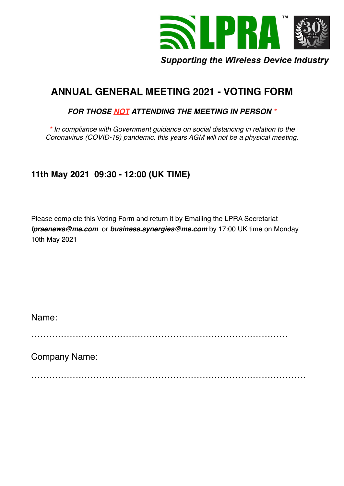

# **ANNUAL GENERAL MEETING 2021 - VOTING FORM**

## *FOR THOSE NOT ATTENDING THE MEETING IN PERSON \**

*\* In compliance with Government guidance on social distancing in relation to the Coronavirus (COVID-19) pandemic, this years AGM will not be a physical meeting.*

# **11th May 2021 09:30 - 12:00 (UK TIME)**

Please complete this Voting Form and return it by Emailing the LPRA Secretariat *[lpraenews@me.com](mailto:lpraenews@me.com)* or *[business.synergies@me.com](mailto:business.synergies@me.com)* by 17:00 UK time on Monday 10th May 2021

Name:

……………………………………………………………………………

Company Name:

…………………………………………………………………………………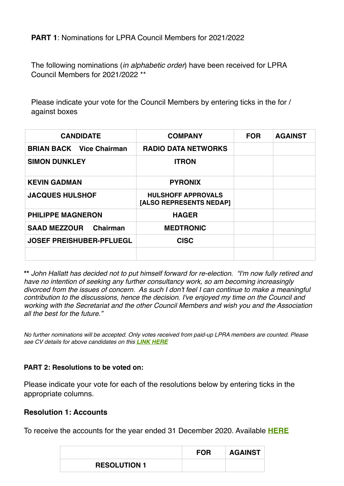**PART 1**: Nominations for LPRA Council Members for 2021/2022

The following nominations (*in alphabetic order*) have been received for LPRA Council Members for 2021/2022 \*\*

Please indicate your vote for the Council Members by entering ticks in the for / against boxes

| <b>CANDIDATE</b>                | <b>COMPANY</b>                                       | <b>FOR</b> | <b>AGAINST</b> |
|---------------------------------|------------------------------------------------------|------------|----------------|
| <b>BRIAN BACK Vice Chairman</b> | <b>RADIO DATA NETWORKS</b>                           |            |                |
| <b>SIMON DUNKLEY</b>            | <b>ITRON</b>                                         |            |                |
| <b>KEVIN GADMAN</b>             | <b>PYRONIX</b>                                       |            |                |
| <b>JACQUES HULSHOF</b>          | <b>HULSHOFF APPROVALS</b><br>[ALSO REPRESENTS NEDAP] |            |                |
| <b>PHILIPPE MAGNERON</b>        | <b>HAGER</b>                                         |            |                |
| <b>SAAD MEZZOUR</b><br>Chairman | <b>MEDTRONIC</b>                                     |            |                |
| <b>JOSEF PREISHUBER-PFLUEGL</b> | <b>CISC</b>                                          |            |                |
|                                 |                                                      |            |                |

**\*\*** *John Hallatt has decided not to put himself forward for re-election. "I'm now fully retired and have no intention of seeking any further consultancy work, so am becoming increasingly divorced from the issues of concern. As such I don't feel I can continue to make a meaningful contribution to the discussions, hence the decision. I've enjoyed my time on the Council and working with the Secretariat and the other Council Members and wish you and the Association all the best for the future."*

*No further nominations will be accepted. Only votes received from paid-up LPRA members are counted. Please see CV details for above candidates on this [LINK HERE](http://lpra.org/about-us/council-members/)*

#### **PART 2: Resolutions to be voted on:**

Please indicate your vote for each of the resolutions below by entering ticks in the appropriate columns.

#### **Resolution 1: Accounts**

To receive the accounts for the year ended 31 December 2020. Available **[HERE](http://lpra.org/assets/members-files/LPRA-full-acc-20.pdf)**

|                     | <b>FOR</b> | <b>AGAINST</b> |
|---------------------|------------|----------------|
| <b>RESOLUTION 1</b> |            |                |